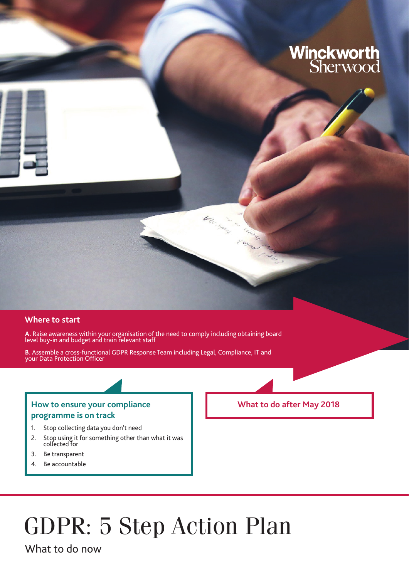# **Winckworth**<br>Sherwood

### **Where to start**

**A.** Raise awareness within your organisation of the need to comply including obtaining board level buy-in and budget and train relevant staff

between ...

**B.** Assemble a cross-functional GDPR Response Team including Legal, Compliance, IT and your Data Protection Officer

## How to ensure your compliance **Now to ensure your compliance** What to do after May 2018 **programme is on track**

- 1. Stop collecting data you don't need
- 2. Stop using it for something other than what it was collected for
- 3. Be transparent
- 4. Be accountable

## GDPR: 5 Step Action Plan

What to do now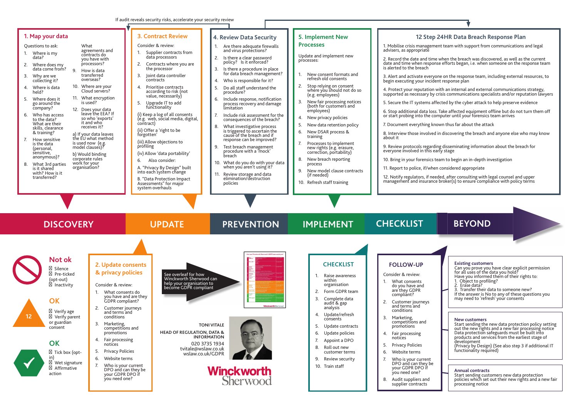Affirmative action

| 1. Map your data<br>Questions to ask:<br>What<br>1. Where is my<br>data?<br>2. Where does my<br>data come from?<br>9.<br>3. Why are we<br>collecting it?<br>4. Where is data<br>held?<br>5. Where does it<br>is used?<br>go around the<br>company?<br>6. Who has access<br>to the data?<br>What are their<br>skills, clearance<br>& training?<br>7. How sensitive<br>is used now (e.g.<br>is the data<br>model clauses)?<br>(personal,<br>sensitive,<br>b) Would binding<br>anonymous)?<br>corporate rules<br>work for your<br>8. What 3rd parties<br>organisation?<br>is it shared<br>with? How is it<br>transferred? | agreements and<br>1.<br>contracts do<br>you have with<br>processors?<br>2.<br>How is data<br>transferred<br>3.<br>overseas?<br>10. Where are your<br>4.<br>Cloud servers?<br>11. What encryption<br>5.<br>12. Does your data<br>leave the EEA? If<br>so who 'exports'<br>it and who<br>contract)<br>receives it?<br>a) If your data leaves<br>forgotten'<br>the EU what method<br>profiling<br>6.                    | <b>3. Contract Review</b><br>Consider & review:<br>Supplier contracts from<br>data processors<br>Contracts where you are<br>the processor<br>Joint data controller<br>contracts<br>Prioritise contracts<br>according to risk (not<br>value, necessarily)<br>Upgrade IT to add<br>functionality<br>(i) Keep a log of all consents<br>(e.g. web, social media, digital,<br>(ii) Offer a 'right to be<br>(iii) Allow objections to<br>(iv) Allow 'data portability'<br>Also consider:<br>A. "Privacy By Design" built<br>into each system change<br>B. "Data Protection Impact<br>Assessments" for major<br>system overhauls | <b>4. Review Data Security</b><br>Are there adequate firewalls<br>and virus protections?<br>Is there a clear password<br>2.<br>policy? Is it enforced?<br>Is there a procedure in place<br>3.<br>for data breach management?<br>Who is responsible for it?<br>Do all staff understand the<br>5.<br>procedure?<br>Include response, notification<br>6.<br>process recovery and damage<br>limitation<br>Include risk assessment for the<br>7.<br>consequences of the breach?<br>What investigative process<br>is triggered to ascertain the<br>cause of the breach and if<br>response can be improved?<br>Test breach management<br>9.<br>procedure with a 'mock'<br>breach<br>10. What do you do with your data<br>when you aren't using it?<br>Review storage and data<br>11.<br>elimination/destruction<br>policies | <b>5. Implement New</b><br><b>Processes</b><br>Update and implement new<br>processes:<br>New consent formats and<br>refresh old consents<br>2.<br>Stop relying on consent<br>where you should not do so<br>(e.g. employees)<br>3.<br>New fair processing notices<br>(both for customers and<br>employees)<br>New privacy policies<br>4.<br>New data retention policy<br>New DSAR process &<br>6.<br>training<br>Processes to implement<br>7.<br>new rights (e.g. erasure,<br>correction, portability)<br>8.<br>New breach reporting<br>process<br>New model clause contracts<br>9.<br>(if needed)<br>10. Refresh staff training | 12 Step<br>1. Mobilise crisis managen<br>advisers, as appropriate<br>2. Record the date and tim<br>date and time when respo<br>is alerted to the breach<br>3. Alert and activate every<br>begin executing your incid<br>4. Protect your reputation<br>supported as necessary by<br>5. Secure the IT systems a<br>6. Stop additional data los<br>or start probing into the co<br>7. Document everything k<br>8. Interview those involve<br>about it<br>9. Review protocols regard<br>everyone involved in this<br>10. Bring in your forensics<br>11. Report to police, if/wh<br>12. Notify regulators, if ne<br>management and insurano |
|------------------------------------------------------------------------------------------------------------------------------------------------------------------------------------------------------------------------------------------------------------------------------------------------------------------------------------------------------------------------------------------------------------------------------------------------------------------------------------------------------------------------------------------------------------------------------------------------------------------------|----------------------------------------------------------------------------------------------------------------------------------------------------------------------------------------------------------------------------------------------------------------------------------------------------------------------------------------------------------------------------------------------------------------------|---------------------------------------------------------------------------------------------------------------------------------------------------------------------------------------------------------------------------------------------------------------------------------------------------------------------------------------------------------------------------------------------------------------------------------------------------------------------------------------------------------------------------------------------------------------------------------------------------------------------------|----------------------------------------------------------------------------------------------------------------------------------------------------------------------------------------------------------------------------------------------------------------------------------------------------------------------------------------------------------------------------------------------------------------------------------------------------------------------------------------------------------------------------------------------------------------------------------------------------------------------------------------------------------------------------------------------------------------------------------------------------------------------------------------------------------------------|---------------------------------------------------------------------------------------------------------------------------------------------------------------------------------------------------------------------------------------------------------------------------------------------------------------------------------------------------------------------------------------------------------------------------------------------------------------------------------------------------------------------------------------------------------------------------------------------------------------------------------|----------------------------------------------------------------------------------------------------------------------------------------------------------------------------------------------------------------------------------------------------------------------------------------------------------------------------------------------------------------------------------------------------------------------------------------------------------------------------------------------------------------------------------------------------------------------------------------------------------------------------------------|
| <b>DISCOVERY</b>                                                                                                                                                                                                                                                                                                                                                                                                                                                                                                                                                                                                       |                                                                                                                                                                                                                                                                                                                                                                                                                      | <b>UPDATE</b>                                                                                                                                                                                                                                                                                                                                                                                                                                                                                                                                                                                                             | <b>PREVENTION</b><br>low can Winckworth Sherwood's GDPR team assist you?                                                                                                                                                                                                                                                                                                                                                                                                                                                                                                                                                                                                                                                                                                                                             | <b>IMPLEMENT</b>                                                                                                                                                                                                                                                                                                                                                                                                                                                                                                                                                                                                                | <b>CHECKLIST</b>                                                                                                                                                                                                                                                                                                                                                                                                                                                                                                                                                                                                                       |
| <b>Not ok</b><br>Silence<br>Pre-ticked<br>(opt-out)<br>Inactivity<br><b>OK</b><br>Verify age<br>12<br>Verify parent<br>or guardian<br>consent<br><b>OK</b><br>Tick box (opt-<br>in)<br>Wet signature<br>Affirmative<br>action                                                                                                                                                                                                                                                                                                                                                                                          | 2. Update consents<br>& privacy policies<br>Consider & review:<br>What consents do<br>you have and are they<br>GDPR compliant?<br>2.<br>Customer journeys<br>and terms and<br>conditions<br>3.<br>Marketing,<br>competitions and<br>promotions<br>4. Fair processing<br>notices<br><b>Privacy Policies</b><br>Website terms<br>6.<br>Who is your current<br>DPO and can they be<br>your GDPR DPO if<br>you need one? | See overleaf for how<br>Winckworth Sherwood can<br>help your organisation to<br>become GDPR compliant<br><b>HEAD OF REGULATION, DATA &amp;</b><br>tvitale@wslaw.co.uk<br>wslaw.co.uk/GDPR                                                                                                                                                                                                                                                                                                                                                                                                                                 | <b>WinckworthSherwood</b><br><b>TONI VITALE</b><br><b>INFORMATION</b><br>020 3735 1934<br><b>Winckworth</b><br>Sherwood                                                                                                                                                                                                                                                                                                                                                                                                                                                                                                                                                                                                                                                                                              | <b>CHECKLIST</b><br>Raise awareness<br>$\mathbf{1}$<br>within<br>organisation<br>Form GDPR team<br>2.<br>3.<br>Complete data<br>audit & gap<br>analysis<br>Update/refresh<br>4.<br>consents<br>5.<br>Update contracts<br>6.<br>Update policies<br>Appoint a DPO<br>8.<br>Roll out new<br>customer terms<br>9.<br>Review security<br>10. Train staff                                                                                                                                                                                                                                                                             | <b>FOLLOW-UP</b><br>Consider & review:<br>What consents<br>do you have and<br>are they GDPR<br>compliant?<br>Customer journeys<br>and terms and<br>conditions<br>3. Marketing,<br>competitions and<br>promotions<br>4. Fair processing<br>notices<br><b>Privacy Policies</b><br>5<br>6.<br>Website terms<br>Who is your current<br>DPO and can they be<br>your GDPR DPO if<br>you need one?<br>Audit suppliers and<br>supplier contracts                                                                                                                                                                                               |

6. Stop additional data loss. Take affected equipment offline but do not turn them off or start probing into the computer until your forensics team arrives

1g known thus far about the attack

blved in discovering the breach and anyone else who may know

garding disseminating information about the breach for his early stage

sics team to begin an in-depth investigation

when considered appropriate

supplier contracts



12. Notify regulators, if needed, after consulting with legal counsel and upper management and insurance broker(s) to ensure compliance with policy terms

## **12 Step 24HR Data Breach Response Plan**

gement team with support from communications and legal

time when the breach was discovered, as well as the current sponse efforts began, i.e. when someone on the response team

veryone on the response team, including external resources, to ncident response plan

tion with an internal and external communications strategy, ry by crisis communications specialists and/or reputation lawyers

ns affected by the cyber attack to help preserve evidence